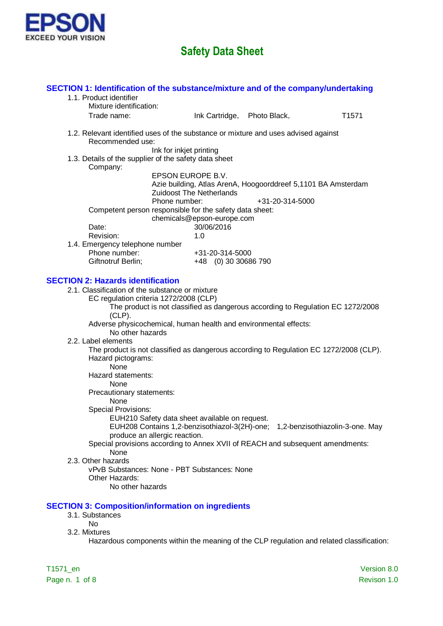

| SECTION 1: Identification of the substance/mixture and of the company/undertaking<br>1.1. Product identifier<br>Mixture identification: |                                                                                                                                                                                                                                                    |                                         |                 |                   |
|-----------------------------------------------------------------------------------------------------------------------------------------|----------------------------------------------------------------------------------------------------------------------------------------------------------------------------------------------------------------------------------------------------|-----------------------------------------|-----------------|-------------------|
| Trade name:                                                                                                                             |                                                                                                                                                                                                                                                    | Ink Cartridge, Photo Black,             |                 | T <sub>1571</sub> |
| 1.2. Relevant identified uses of the substance or mixture and uses advised against<br>Recommended use:                                  |                                                                                                                                                                                                                                                    |                                         |                 |                   |
| 1.3. Details of the supplier of the safety data sheet<br>Company:                                                                       | Ink for inkjet printing                                                                                                                                                                                                                            |                                         |                 |                   |
|                                                                                                                                         | EPSON EUROPE B.V.<br>Azie building, Atlas ArenA, Hoogoorddreef 5,1101 BA Amsterdam<br><b>Zuidoost The Netherlands</b>                                                                                                                              |                                         |                 |                   |
|                                                                                                                                         | Phone number:<br>Competent person responsible for the safety data sheet:<br>chemicals@epson-europe.com                                                                                                                                             |                                         | +31-20-314-5000 |                   |
| Date:<br>Revision:                                                                                                                      | 30/06/2016<br>1.0                                                                                                                                                                                                                                  |                                         |                 |                   |
| 1.4. Emergency telephone number<br>Phone number:<br>Giftnotruf Berlin;                                                                  |                                                                                                                                                                                                                                                    | +31-20-314-5000<br>+48 (0) 30 30686 790 |                 |                   |
| <b>SECTION 2: Hazards identification</b>                                                                                                |                                                                                                                                                                                                                                                    |                                         |                 |                   |
| 2.1. Classification of the substance or mixture<br>$(CLP)$ .                                                                            | EC regulation criteria 1272/2008 (CLP)<br>The product is not classified as dangerous according to Regulation EC 1272/2008                                                                                                                          |                                         |                 |                   |
| No other hazards                                                                                                                        | Adverse physicochemical, human health and environmental effects:                                                                                                                                                                                   |                                         |                 |                   |
| 2.2. Label elements<br>Hazard pictograms:<br>None                                                                                       | The product is not classified as dangerous according to Regulation EC 1272/2008 (CLP).                                                                                                                                                             |                                         |                 |                   |
| Hazard statements:<br><b>None</b>                                                                                                       |                                                                                                                                                                                                                                                    |                                         |                 |                   |
| Precautionary statements:<br>None<br><b>Special Provisions:</b>                                                                         |                                                                                                                                                                                                                                                    |                                         |                 |                   |
|                                                                                                                                         | EUH210 Safety data sheet available on request.<br>EUH208 Contains 1,2-benzisothiazol-3(2H)-one; 1,2-benzisothiazolin-3-one. May<br>produce an allergic reaction.<br>Special provisions according to Annex XVII of REACH and subsequent amendments: |                                         |                 |                   |
| None<br>2.3. Other hazards                                                                                                              | vPvB Substances: None - PBT Substances: None                                                                                                                                                                                                       |                                         |                 |                   |
| Other Hazards:<br>No other hazards                                                                                                      |                                                                                                                                                                                                                                                    |                                         |                 |                   |
| <b>SECTION 3: Composition/information on ingredients</b><br>3.1. Substances                                                             |                                                                                                                                                                                                                                                    |                                         |                 |                   |
| <b>No</b><br>3.2. Mixtures                                                                                                              | Hazardous components within the meaning of the CLP regulation and related classification:                                                                                                                                                          |                                         |                 |                   |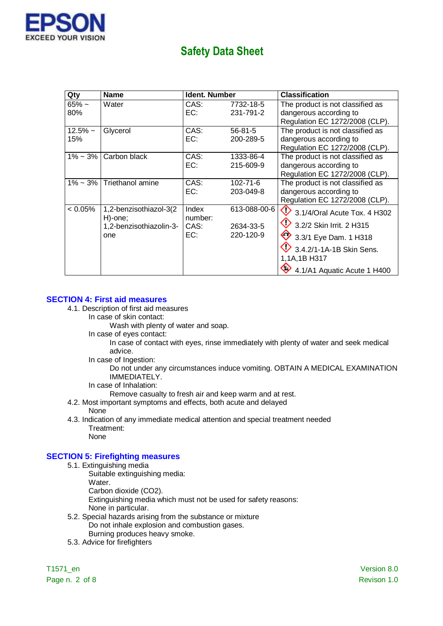

| Qty               | <b>Name</b>                                                         | Ident. Number                   |                                        | <b>Classification</b>                                                                                                                                                                |
|-------------------|---------------------------------------------------------------------|---------------------------------|----------------------------------------|--------------------------------------------------------------------------------------------------------------------------------------------------------------------------------------|
| $65% -$<br>80%    | Water                                                               | CAS:<br>EC:                     | 7732-18-5<br>231-791-2                 | The product is not classified as<br>dangerous according to<br>Regulation EC 1272/2008 (CLP).                                                                                         |
| $12.5\%$ ~<br>15% | Glycerol                                                            | CAS:<br>EC:                     | $56 - 81 - 5$<br>200-289-5             | The product is not classified as<br>dangerous according to<br>Regulation EC 1272/2008 (CLP).                                                                                         |
| $1\% \sim 3\%$    | Carbon black                                                        | CAS:<br>EC:                     | 1333-86-4<br>215-609-9                 | The product is not classified as<br>dangerous according to<br>Regulation EC 1272/2008 (CLP).                                                                                         |
| $1\% \sim 3\%$    | Triethanol amine                                                    | CAS:<br>EC:                     | $102 - 71 - 6$<br>203-049-8            | The product is not classified as<br>dangerous according to<br>Regulation EC 1272/2008 (CLP).                                                                                         |
| $< 0.05\%$        | 1,2-benzisothiazol-3(2<br>H)-one;<br>1,2-benzisothiazolin-3-<br>one | Index<br>number:<br>CAS:<br>EC: | 613-088-00-6<br>2634-33-5<br>220-120-9 | $\bigcirc$ 3.1/4/Oral Acute Tox. 4 H302<br>3.2/2 Skin Irrit. 2 H315<br>$\bigotimes$ 3.3/1 Eye Dam. 1 H318<br>3.4.2/1-1A-1B Skin Sens.<br>1,1A,1B H317<br>4.1/A1 Aquatic Acute 1 H400 |

### **SECTION 4: First aid measures**

- 4.1. Description of first aid measures
	- In case of skin contact:

Wash with plenty of water and soap.

In case of eyes contact:

In case of contact with eyes, rinse immediately with plenty of water and seek medical advice.

In case of Ingestion:

Do not under any circumstances induce vomiting. OBTAIN A MEDICAL EXAMINATION IMMEDIATELY.

In case of Inhalation:

Remove casualty to fresh air and keep warm and at rest.

- 4.2. Most important symptoms and effects, both acute and delayed None
- 4.3. Indication of any immediate medical attention and special treatment needed Treatment: None

### **SECTION 5: Firefighting measures**

- 5.1. Extinguishing media
	- Suitable extinguishing media:
		- Water.

Carbon dioxide (CO2).

Extinguishing media which must not be used for safety reasons:

- None in particular.
- 5.2. Special hazards arising from the substance or mixture Do not inhale explosion and combustion gases. Burning produces heavy smoke.
- 5.3. Advice for firefighters

Page n. 2 of 8 Revison 1.0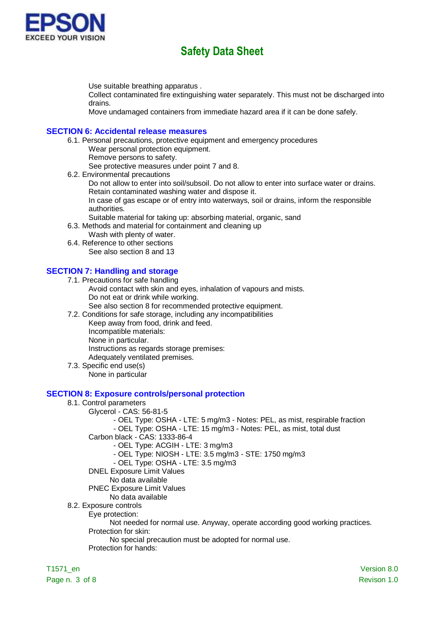

Use suitable breathing apparatus .

Collect contaminated fire extinguishing water separately. This must not be discharged into drains.

Move undamaged containers from immediate hazard area if it can be done safely.

#### **SECTION 6: Accidental release measures**

- 6.1. Personal precautions, protective equipment and emergency procedures Wear personal protection equipment.
	- Remove persons to safety.

See protective measures under point 7 and 8.

6.2. Environmental precautions

Do not allow to enter into soil/subsoil. Do not allow to enter into surface water or drains. Retain contaminated washing water and dispose it.

In case of gas escape or of entry into waterways, soil or drains, inform the responsible authorities.

- Suitable material for taking up: absorbing material, organic, sand
- 6.3. Methods and material for containment and cleaning up
	- Wash with plenty of water.
- 6.4. Reference to other sections See also section 8 and 13

### **SECTION 7: Handling and storage**

7.1. Precautions for safe handling

- Avoid contact with skin and eyes, inhalation of vapours and mists. Do not eat or drink while working.
	- See also section 8 for recommended protective equipment.
- 7.2. Conditions for safe storage, including any incompatibilities

Keep away from food, drink and feed.

Incompatible materials:

None in particular.

Instructions as regards storage premises:

- Adequately ventilated premises.
- 7.3. Specific end use(s)
	- None in particular

#### **SECTION 8: Exposure controls/personal protection**

- 8.1. Control parameters
	- Glycerol CAS: 56-81-5
		- OEL Type: OSHA LTE: 5 mg/m3 Notes: PEL, as mist, respirable fraction
		- OEL Type: OSHA LTE: 15 mg/m3 Notes: PEL, as mist, total dust
		- Carbon black CAS: 1333-86-4
			- OEL Type: ACGIH LTE: 3 mg/m3
			- OEL Type: NIOSH LTE: 3.5 mg/m3 STE: 1750 mg/m3
			- OEL Type: OSHA LTE: 3.5 mg/m3
		- DNEL Exposure Limit Values
		- No data available
		- PNEC Exposure Limit Values
	- No data available
- 8.2. Exposure controls
	- Eye protection:
		- Not needed for normal use. Anyway, operate according good working practices.
	- Protection for skin:
		- No special precaution must be adopted for normal use.
	- Protection for hands: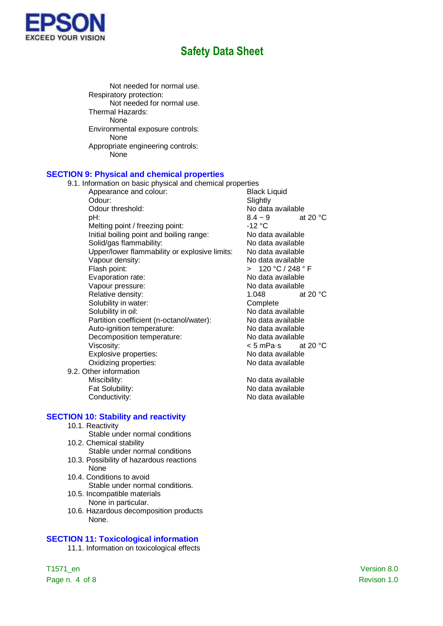

Not needed for normal use. Respiratory protection: Not needed for normal use. Thermal Hazards: None Environmental exposure controls: None Appropriate engineering controls: None

#### **SECTION 9: Physical and chemical properties**

9.1. Information on basic physical and chemical properties

- Appearance and colour: Black Liquid Odour: Slightly Odour threshold:<br>  $pH: 8.4 \sim 9$  at 20 °C pH:  $8.4 \sim 9$  at 20 °C Melting point / freezing point: -12 °C Initial boiling point and boiling range:<br>Solid/gas flammability: No data available Solid/gas flammability:<br>
Upper/lower flammability or explosive limits: No data available Upper/lower flammability or explosive limits: Vapour density: No data available Flash point:  $\overline{C}$  > 120 °C / 248 ° F Evaporation rate: No data available Vapour pressure: No data available Relative density: 1.048 at 20 °C Solubility in water: Complete Solubility in oil: No data available Partition coefficient (n-octanol/water): No data available Auto-ignition temperature:<br>
Decomposition temperature:<br>
No data available Decomposition temperature: Viscosity:<br>
Explosive properties:<br>
Explosive properties:<br>
Some Modata available Explosive properties:<br>
Oxidizing properties:<br>
Oxidizing properties:<br>
No data available Oxidizing properties:
- 9.2. Other information

**SECTION 10: Stability and reactivity**

- 10.1. Reactivity
- Stable under normal conditions 10.2. Chemical stability
	- Stable under normal conditions
- 10.3. Possibility of hazardous reactions None
- 10.4. Conditions to avoid Stable under normal conditions.
- 10.5. Incompatible materials None in particular.
- 10.6. Hazardous decomposition products None.

## **SECTION 11: Toxicological information**

11.1. Information on toxicological effects

Miscibility: No data available Fat Solubility: The Contract of the No data available Conductivity: Conductivity: No data available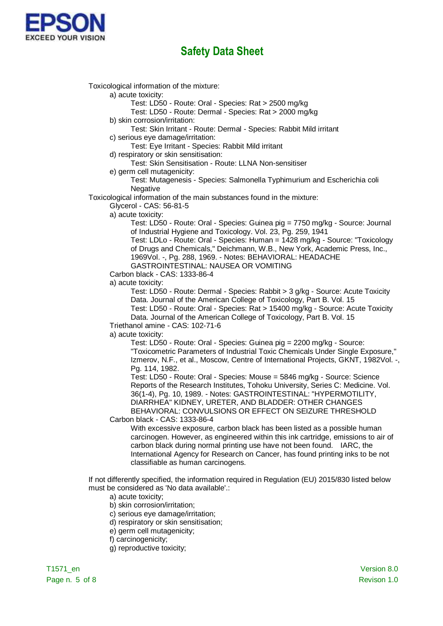

Toxicological information of the mixture:

a) acute toxicity:

Test: LD50 - Route: Oral - Species: Rat > 2500 mg/kg

Test: LD50 - Route: Dermal - Species: Rat > 2000 mg/kg

b) skin corrosion/irritation:

Test: Skin Irritant - Route: Dermal - Species: Rabbit Mild irritant

c) serious eye damage/irritation:

Test: Eye Irritant - Species: Rabbit Mild irritant

d) respiratory or skin sensitisation:

Test: Skin Sensitisation - Route: LLNA Non-sensitiser

e) germ cell mutagenicity:

Test: Mutagenesis - Species: Salmonella Typhimurium and Escherichia coli **Negative** 

Toxicological information of the main substances found in the mixture:

Glycerol - CAS: 56-81-5

a) acute toxicity:

Test: LD50 - Route: Oral - Species: Guinea pig = 7750 mg/kg - Source: Journal of Industrial Hygiene and Toxicology. Vol. 23, Pg. 259, 1941

Test: LDLo - Route: Oral - Species: Human = 1428 mg/kg - Source: "Toxicology of Drugs and Chemicals," Deichmann, W.B., New York, Academic Press, Inc., 1969Vol. -, Pg. 288, 1969. - Notes: BEHAVIORAL: HEADACHE

GASTROINTESTINAL: NAUSEA OR VOMITING

Carbon black - CAS: 1333-86-4

a) acute toxicity:

Test: LD50 - Route: Dermal - Species: Rabbit > 3 g/kg - Source: Acute Toxicity Data. Journal of the American College of Toxicology, Part B. Vol. 15 Test: LD50 - Route: Oral - Species: Rat > 15400 mg/kg - Source: Acute Toxicity

Data. Journal of the American College of Toxicology, Part B. Vol. 15 Triethanol amine - CAS: 102-71-6

a) acute toxicity:

Test: LD50 - Route: Oral - Species: Guinea pig = 2200 mg/kg - Source: "Toxicometric Parameters of Industrial Toxic Chemicals Under Single Exposure," Izmerov, N.F., et al., Moscow, Centre of International Projects, GKNT, 1982Vol. -, Pg. 114, 1982.

Test: LD50 - Route: Oral - Species: Mouse = 5846 mg/kg - Source: Science Reports of the Research Institutes, Tohoku University, Series C: Medicine. Vol. 36(1-4), Pg. 10, 1989. - Notes: GASTROINTESTINAL: "HYPERMOTILITY, DIARRHEA" KIDNEY, URETER, AND BLADDER: OTHER CHANGES BEHAVIORAL: CONVULSIONS OR EFFECT ON SEIZURE THRESHOLD

Carbon black - CAS: 1333-86-4

With excessive exposure, carbon black has been listed as a possible human carcinogen. However, as engineered within this ink cartridge, emissions to air of carbon black during normal printing use have not been found. IARC, the International Agency for Research on Cancer, has found printing inks to be not classifiable as human carcinogens.

If not differently specified, the information required in Regulation (EU) 2015/830 listed below must be considered as 'No data available'.:

- a) acute toxicity;
- b) skin corrosion/irritation;
- c) serious eye damage/irritation;
- d) respiratory or skin sensitisation;
- e) germ cell mutagenicity;
- f) carcinogenicity;
- g) reproductive toxicity;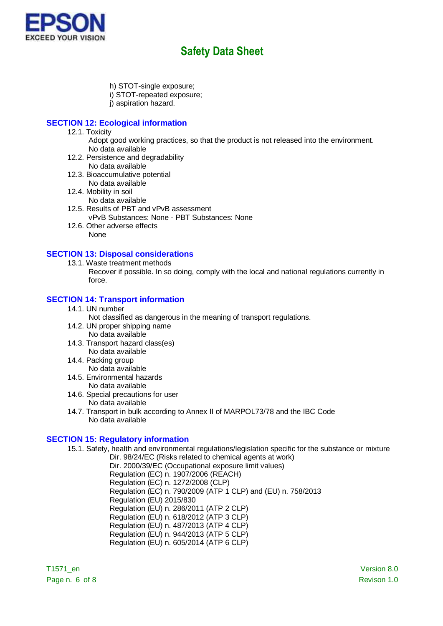

- h) STOT-single exposure;
- i) STOT-repeated exposure;
- j) aspiration hazard.

# **SECTION 12: Ecological information**

- 12.1. Toxicity
	- Adopt good working practices, so that the product is not released into the environment. No data available
- 12.2. Persistence and degradability No data available
- 12.3. Bioaccumulative potential
- No data available 12.4. Mobility in soil
	- No data available
- 12.5. Results of PBT and vPvB assessment vPvB Substances: None - PBT Substances: None
- 12.6. Other adverse effects None

### **SECTION 13: Disposal considerations**

- 13.1. Waste treatment methods
	- Recover if possible. In so doing, comply with the local and national regulations currently in force.

### **SECTION 14: Transport information**

14.1. UN number

Not classified as dangerous in the meaning of transport regulations.

- 14.2. UN proper shipping name No data available
- 14.3. Transport hazard class(es) No data available
- 14.4. Packing group No data available
- 14.5. Environmental hazards No data available
- 14.6. Special precautions for user No data available
- 14.7. Transport in bulk according to Annex II of MARPOL73/78 and the IBC Code No data available

## **SECTION 15: Regulatory information**

15.1. Safety, health and environmental regulations/legislation specific for the substance or mixture Dir. 98/24/EC (Risks related to chemical agents at work)

Dir. 2000/39/EC (Occupational exposure limit values) Regulation (EC) n. 1907/2006 (REACH) Regulation (EC) n. 1272/2008 (CLP) Regulation (EC) n. 790/2009 (ATP 1 CLP) and (EU) n. 758/2013 Regulation (EU) 2015/830 Regulation (EU) n. 286/2011 (ATP 2 CLP) Regulation (EU) n. 618/2012 (ATP 3 CLP) Regulation (EU) n. 487/2013 (ATP 4 CLP) Regulation (EU) n. 944/2013 (ATP 5 CLP) Regulation (EU) n. 605/2014 (ATP 6 CLP)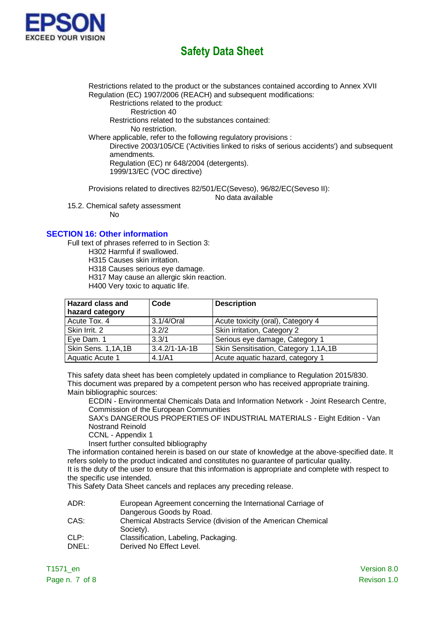

Restrictions related to the product or the substances contained according to Annex XVII Regulation (EC) 1907/2006 (REACH) and subsequent modifications: Restrictions related to the product:

Restriction 40

Restrictions related to the substances contained:

No restriction.

Where applicable, refer to the following regulatory provisions :

Directive 2003/105/CE ('Activities linked to risks of serious accidents') and subsequent amendments.

Regulation (EC) nr 648/2004 (detergents). 1999/13/EC (VOC directive)

Provisions related to directives 82/501/EC(Seveso), 96/82/EC(Seveso II):

No data available

15.2. Chemical safety assessment No

### **SECTION 16: Other information**

Full text of phrases referred to in Section 3:

H302 Harmful if swallowed.

H315 Causes skin irritation.

H318 Causes serious eye damage.

H317 May cause an allergic skin reaction.

H400 Very toxic to aquatic life.

| <b>Hazard class and</b><br>hazard category | Code                | <b>Description</b>                   |
|--------------------------------------------|---------------------|--------------------------------------|
| Acute Tox. 4                               | 3.1/4/Oral          | Acute toxicity (oral), Category 4    |
| Skin Irrit. 2                              | 3.2/2               | Skin irritation, Category 2          |
| Eye Dam. 1                                 | 3.3/1               | Serious eye damage, Category 1       |
| Skin Sens. 1,1A,1B                         | $3.4.2/1 - 1A - 1B$ | Skin Sensitisation, Category 1,1A,1B |
| Aquatic Acute 1                            | 4.1/A1              | Acute aquatic hazard, category 1     |

This safety data sheet has been completely updated in compliance to Regulation 2015/830. This document was prepared by a competent person who has received appropriate training. Main bibliographic sources:

ECDIN - Environmental Chemicals Data and Information Network - Joint Research Centre, Commission of the European Communities

SAX's DANGEROUS PROPERTIES OF INDUSTRIAL MATERIALS - Eight Edition - Van Nostrand Reinold

CCNL - Appendix 1

Insert further consulted bibliography

The information contained herein is based on our state of knowledge at the above-specified date. It refers solely to the product indicated and constitutes no guarantee of particular quality. It is the duty of the user to ensure that this information is appropriate and complete with respect to

the specific use intended. This Safety Data Sheet cancels and replaces any preceding release.

ADR: European Agreement concerning the International Carriage of Dangerous Goods by Road.

- CAS: Chemical Abstracts Service (division of the American Chemical Society).
- CLP: Classification, Labeling, Packaging.
- DNEL: Derived No Effect Level.